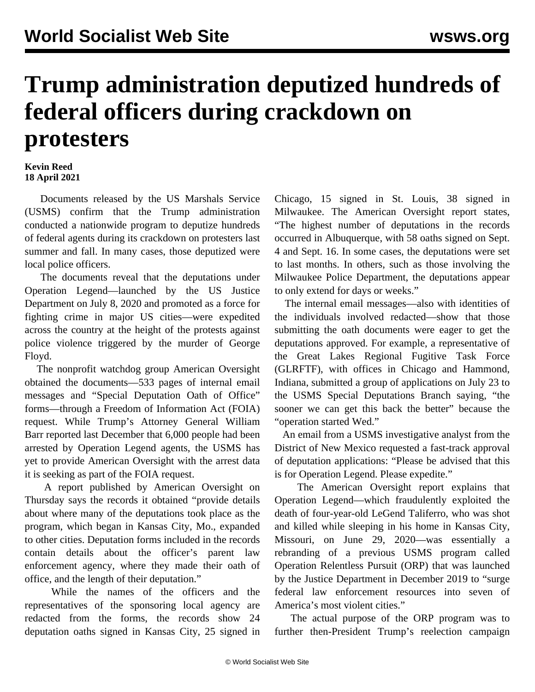## **Trump administration deputized hundreds of federal officers during crackdown on protesters**

## **Kevin Reed 18 April 2021**

 Documents released by the US Marshals Service (USMS) confirm that the Trump administration conducted a nationwide program to deputize hundreds of federal agents during its crackdown on protesters last summer and fall. In many cases, those deputized were local police officers.

 The documents reveal that the deputations under Operation Legend—launched by the US Justice Department on July 8, 2020 and promoted as a force for fighting crime in major US cities—were expedited across the country at the height of the protests against police violence triggered by the murder of George Floyd.

 The nonprofit watchdog group American Oversight obtained the documents—533 pages of internal email messages and "Special Deputation Oath of Office" forms—through a Freedom of Information Act (FOIA) request. While Trump's Attorney General William Barr reported last December that 6,000 people had been arrested by Operation Legend agents, the USMS has yet to provide American Oversight with the arrest data it is seeking as part of the FOIA request.

 A report published by American Oversight on Thursday says the records it obtained "provide details about where many of the deputations took place as the program, which began in Kansas City, Mo., expanded to other cities. Deputation forms included in the records contain details about the officer's parent law enforcement agency, where they made their oath of office, and the length of their deputation."

 While the names of the officers and the representatives of the sponsoring local agency are redacted from the forms, the records show 24 deputation oaths signed in Kansas City, 25 signed in Chicago, 15 signed in St. Louis, 38 signed in Milwaukee. The American Oversight report states, "The highest number of deputations in the records occurred in Albuquerque, with 58 oaths signed on Sept. 4 and Sept. 16. In some cases, the deputations were set to last months. In others, such as those involving the Milwaukee Police Department, the deputations appear to only extend for days or weeks."

 The internal email messages—also with identities of the individuals involved redacted—show that those submitting the oath documents were eager to get the deputations approved. For example, a representative of the Great Lakes Regional Fugitive Task Force (GLRFTF), with offices in Chicago and Hammond, Indiana, submitted a group of applications on July 23 to the USMS Special Deputations Branch saying, "the sooner we can get this back the better" because the "operation started Wed."

 An email from a USMS investigative analyst from the District of New Mexico requested a fast-track approval of deputation applications: "Please be advised that this is for Operation Legend. Please expedite."

 The American Oversight report explains that Operation Legend—which fraudulently exploited the death of four-year-old LeGend Taliferro, who was shot and killed while sleeping in his home in Kansas City, Missouri, on June 29, 2020—was essentially a rebranding of a previous USMS program called Operation Relentless Pursuit (ORP) that was launched by the Justice Department in December 2019 to "surge federal law enforcement resources into seven of America's most violent cities."

 The actual purpose of the ORP program was to further then-President Trump's reelection campaign